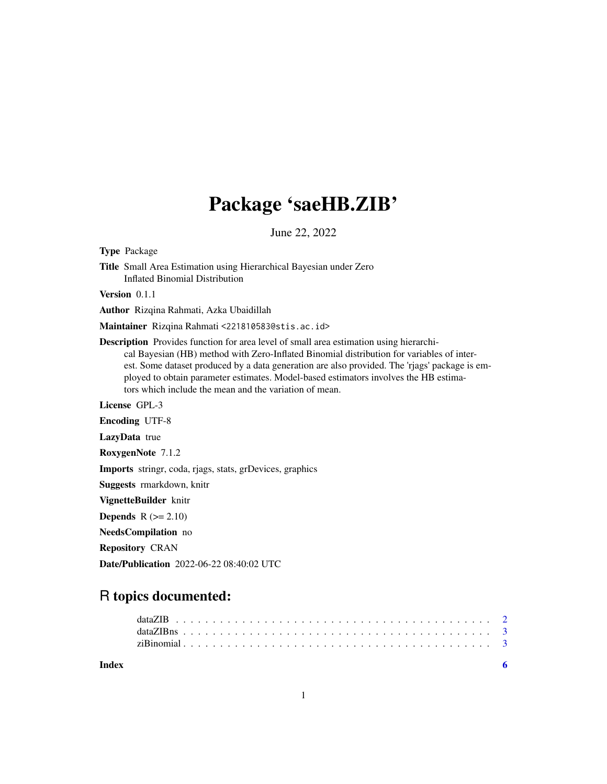## Package 'saeHB.ZIB'

June 22, 2022

Title Small Area Estimation using Hierarchical Bayesian under Zero Inflated Binomial Distribution Version 0.1.1 Author Rizqina Rahmati, Azka Ubaidillah Maintainer Rizqina Rahmati <221810583@stis.ac.id> Description Provides function for area level of small area estimation using hierarchical Bayesian (HB) method with Zero-Inflated Binomial distribution for variables of interest. Some dataset produced by a data generation are also provided. The 'rjags' package is employed to obtain parameter estimates. Model-based estimators involves the HB estimators which include the mean and the variation of mean. License GPL-3 Encoding UTF-8 LazyData true

RoxygenNote 7.1.2

Type Package

Imports stringr, coda, rjags, stats, grDevices, graphics

Suggests rmarkdown, knitr

VignetteBuilder knitr

Depends  $R (= 2.10)$ 

NeedsCompilation no

Repository CRAN

Date/Publication 2022-06-22 08:40:02 UTC

## R topics documented:

| Index |  |  |  |  |  |  |  |  |  |  |  |  |  |  |  |  |  |  |  |
|-------|--|--|--|--|--|--|--|--|--|--|--|--|--|--|--|--|--|--|--|
|       |  |  |  |  |  |  |  |  |  |  |  |  |  |  |  |  |  |  |  |
|       |  |  |  |  |  |  |  |  |  |  |  |  |  |  |  |  |  |  |  |
|       |  |  |  |  |  |  |  |  |  |  |  |  |  |  |  |  |  |  |  |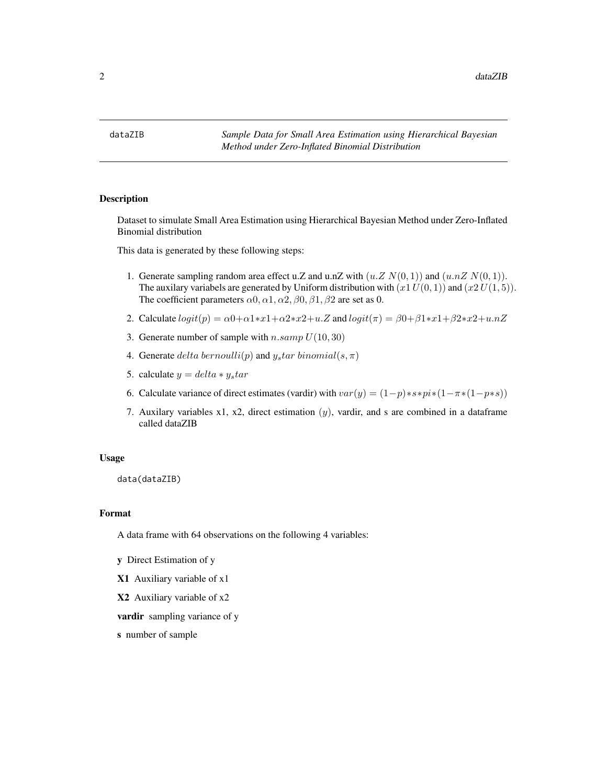<span id="page-1-0"></span>

#### Description

Dataset to simulate Small Area Estimation using Hierarchical Bayesian Method under Zero-Inflated Binomial distribution

This data is generated by these following steps:

- 1. Generate sampling random area effect u.Z and u.nZ with  $(u.Z N(0, 1))$  and  $(u.nZ N(0, 1))$ . The auxilary variabels are generated by Uniform distribution with  $(x1 U(0, 1))$  and  $(x2 U(1, 5))$ . The coefficient parameters  $\alpha$ 0,  $\alpha$ 1,  $\alpha$ 2,  $\beta$ 0,  $\beta$ 1,  $\beta$ 2 are set as 0.
- 2. Calculate  $logit(p) = \alpha 0 + \alpha 1 * x^2 + \alpha 2 * x^2 + u \cdot Z$  and  $logit(\pi) = \beta 0 + \beta 1 * x^2 + \beta 2 * x^2 + u \cdot nZ$
- 3. Generate number of sample with  $n.samp U(10, 30)$
- 4. Generate delta bernoulli(p) and  $y_s$ tar binomial(s,  $\pi$ )
- 5. calculate  $y = delta * y_s tar$
- 6. Calculate variance of direct estimates (vardir) with  $var(y) = (1-p) * s * pi * (1-\pi * (1-p * s))$
- 7. Auxilary variables x1, x2, direct estimation  $(y)$ , vardir, and s are combined in a dataframe called dataZIB

#### Usage

data(dataZIB)

#### Format

A data frame with 64 observations on the following 4 variables:

y Direct Estimation of y

X1 Auxiliary variable of x1

X2 Auxiliary variable of x2

vardir sampling variance of y

s number of sample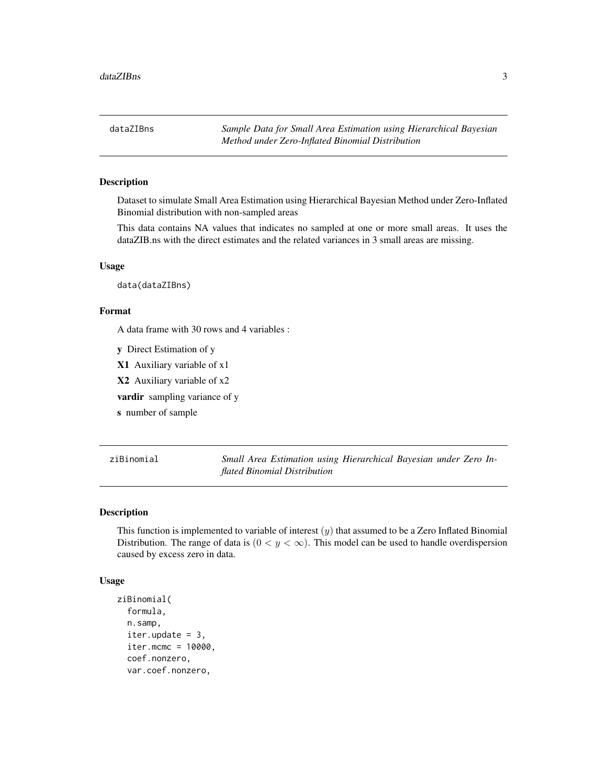<span id="page-2-0"></span>dataZIBns *Sample Data for Small Area Estimation using Hierarchical Bayesian Method under Zero-Inflated Binomial Distribution*

#### Description

Dataset to simulate Small Area Estimation using Hierarchical Bayesian Method under Zero-Inflated Binomial distribution with non-sampled areas

This data contains NA values that indicates no sampled at one or more small areas. It uses the dataZIB.ns with the direct estimates and the related variances in 3 small areas are missing.

#### Usage

data(dataZIBns)

#### Format

A data frame with 30 rows and 4 variables :

y Direct Estimation of y

X1 Auxiliary variable of x1

X2 Auxiliary variable of x2

vardir sampling variance of y

s number of sample

ziBinomial *Small Area Estimation using Hierarchical Bayesian under Zero Inflated Binomial Distribution*

#### Description

This function is implemented to variable of interest  $(y)$  that assumed to be a Zero Inflated Binomial Distribution. The range of data is  $(0 < y < \infty)$ . This model can be used to handle overdispersion caused by excess zero in data.

#### Usage

```
ziBinomial(
  formula,
  n.samp,
  iter.update = 3,
  iter.mcmc = 10000,
  coef.nonzero,
  var.coef.nonzero,
```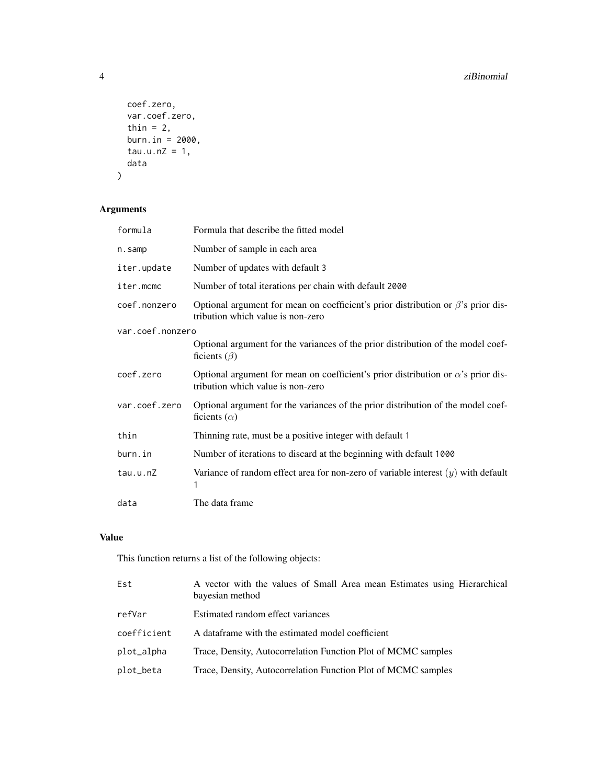```
coef.zero,
  var.coef.zero,
 thin = 2,
 burn.in = 2000,
  tau.u.nZ = 1,data
\mathcal{L}
```
### Arguments

| formula          | Formula that describe the fitted model                                                                                        |
|------------------|-------------------------------------------------------------------------------------------------------------------------------|
| n.samp           | Number of sample in each area                                                                                                 |
| iter.update      | Number of updates with default 3                                                                                              |
| iter.mcmc        | Number of total iterations per chain with default 2000                                                                        |
| coef.nonzero     | Optional argument for mean on coefficient's prior distribution or $\beta$ 's prior dis-<br>tribution which value is non-zero  |
| var.coef.nonzero |                                                                                                                               |
|                  | Optional argument for the variances of the prior distribution of the model coef-<br>ficients $(\beta)$                        |
| coef.zero        | Optional argument for mean on coefficient's prior distribution or $\alpha$ 's prior dis-<br>tribution which value is non-zero |
| var.coef.zero    | Optional argument for the variances of the prior distribution of the model coef-<br>ficients $(\alpha)$                       |
| thin             | Thinning rate, must be a positive integer with default 1                                                                      |
| burn.in          | Number of iterations to discard at the beginning with default 1000                                                            |
| tau.u.nZ         | Variance of random effect area for non-zero of variable interest $(y)$ with default<br>1                                      |
| data             | The data frame                                                                                                                |

#### Value

This function returns a list of the following objects:

| Est         | A vector with the values of Small Area mean Estimates using Hierarchical<br>bayesian method |
|-------------|---------------------------------------------------------------------------------------------|
| refVar      | Estimated random effect variances                                                           |
| coefficient | A dataframe with the estimated model coefficient                                            |
| plot_alpha  | Trace, Density, Autocorrelation Function Plot of MCMC samples                               |
| plot_beta   | Trace, Density, Autocorrelation Function Plot of MCMC samples                               |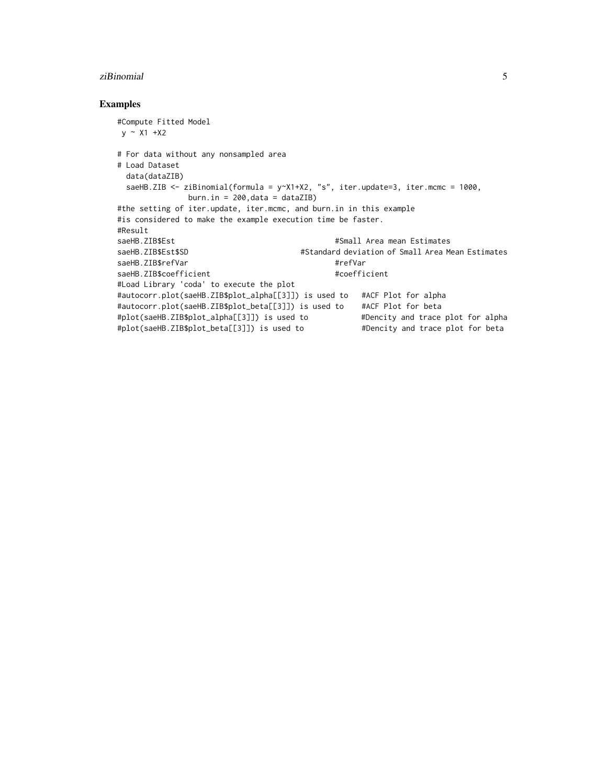#### ziBinomial 5

#### Examples

```
#Compute Fitted Model
y \sim X1 + X2# For data without any nonsampled area
# Load Dataset
 data(dataZIB)
 saeHB.ZIB <- ziBinomial(formula = y~X1+X2, "s", iter.update=3, iter.mcmc = 1000,
              burn.in = 200, data = dataZIB)
#the setting of iter.update, iter.mcmc, and burn.in in this example
#is considered to make the example execution time be faster.
#Result
saeHB.ZIB$Est #Small Area mean Estimates<br>#Standard deviation of Small Area Me
                                      #Standard deviation of Small Area Mean Estimates
saeHB.ZIB$refVar #refVar
saeHB.ZIB$coefficient #coefficient
#Load Library 'coda' to execute the plot
#autocorr.plot(saeHB.ZIB$plot_alpha[[3]]) is used to #ACF Plot for alpha
#autocorr.plot(saeHB.ZIB$plot_beta[[3]]) is used to #ACF Plot for beta
#plot(saeHB.ZIB$plot_alpha[[3]]) is used to #Dencity and trace plot for alpha
#plot(saeHB.ZIB$plot_beta[[3]]) is used to #Dencity and trace plot for beta
```